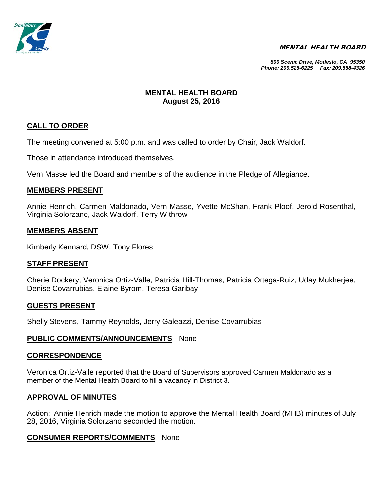

#### MENTAL HEALTH BOARD

*800 Scenic Drive, Modesto, CA 95350 Phone: 209.525-6225 Fax: 209.558-4326*

#### **MENTAL HEALTH BOARD August 25, 2016**

### **CALL TO ORDER**

The meeting convened at 5:00 p.m. and was called to order by Chair, Jack Waldorf.

Those in attendance introduced themselves.

Vern Masse led the Board and members of the audience in the Pledge of Allegiance.

#### **MEMBERS PRESENT**

Annie Henrich, Carmen Maldonado, Vern Masse, Yvette McShan, Frank Ploof, Jerold Rosenthal, Virginia Solorzano, Jack Waldorf, Terry Withrow

#### **MEMBERS ABSENT**

Kimberly Kennard, DSW, Tony Flores

#### **STAFF PRESENT**

Cherie Dockery, Veronica Ortiz-Valle, Patricia Hill-Thomas, Patricia Ortega-Ruiz, Uday Mukherjee, Denise Covarrubias, Elaine Byrom, Teresa Garibay

#### **GUESTS PRESENT**

Shelly Stevens, Tammy Reynolds, Jerry Galeazzi, Denise Covarrubias

#### **PUBLIC COMMENTS/ANNOUNCEMENTS** - None

#### **CORRESPONDENCE**

Veronica Ortiz-Valle reported that the Board of Supervisors approved Carmen Maldonado as a member of the Mental Health Board to fill a vacancy in District 3.

#### **APPROVAL OF MINUTES**

Action: Annie Henrich made the motion to approve the Mental Health Board (MHB) minutes of July 28, 2016, Virginia Solorzano seconded the motion.

#### **CONSUMER REPORTS/COMMENTS** - None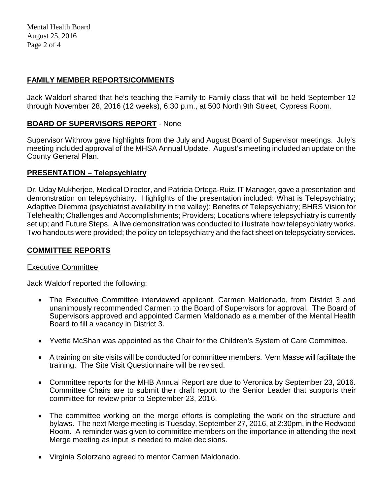## **FAMILY MEMBER REPORTS/COMMENTS**

Jack Waldorf shared that he's teaching the Family-to-Family class that will be held September 12 through November 28, 2016 (12 weeks), 6:30 p.m., at 500 North 9th Street, Cypress Room.

### **BOARD OF SUPERVISORS REPORT** - None

Supervisor Withrow gave highlights from the July and August Board of Supervisor meetings. July's meeting included approval of the MHSA Annual Update. August's meeting included an update on the County General Plan.

### **PRESENTATION – Telepsychiatry**

Dr. Uday Mukherjee, Medical Director, and Patricia Ortega-Ruiz, IT Manager, gave a presentation and demonstration on telepsychiatry. Highlights of the presentation included: What is Telepsychiatry; Adaptive Dilemma (psychiatrist availability in the valley); Benefits of Telepsychiatry; BHRS Vision for Telehealth; Challenges and Accomplishments; Providers; Locations where telepsychiatry is currently set up; and Future Steps. A live demonstration was conducted to illustrate how telepsychiatry works. Two handouts were provided; the policy on telepsychiatry and the fact sheet on telepsyciatry services.

#### **COMMITTEE REPORTS**

#### Executive Committee

Jack Waldorf reported the following:

- The Executive Committee interviewed applicant, Carmen Maldonado, from District 3 and unanimously recommended Carmen to the Board of Supervisors for approval. The Board of Supervisors approved and appointed Carmen Maldonado as a member of the Mental Health Board to fill a vacancy in District 3.
- Yvette McShan was appointed as the Chair for the Children's System of Care Committee.
- A training on site visits will be conducted for committee members. Vern Masse will facilitate the training. The Site Visit Questionnaire will be revised.
- Committee reports for the MHB Annual Report are due to Veronica by September 23, 2016. Committee Chairs are to submit their draft report to the Senior Leader that supports their committee for review prior to September 23, 2016.
- The committee working on the merge efforts is completing the work on the structure and bylaws. The next Merge meeting is Tuesday, September 27, 2016, at 2:30pm, in the Redwood Room. A reminder was given to committee members on the importance in attending the next Merge meeting as input is needed to make decisions.
- Virginia Solorzano agreed to mentor Carmen Maldonado.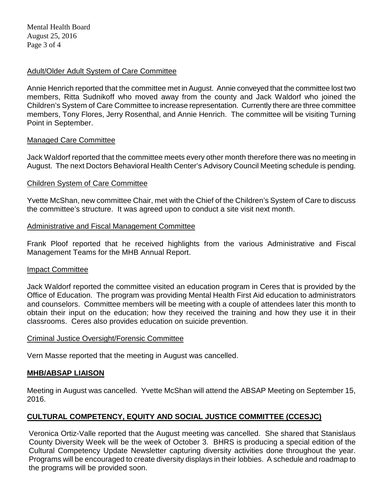Mental Health Board August 25, 2016 Page 3 of 4

#### Adult/Older Adult System of Care Committee

Annie Henrich reported that the committee met in August. Annie conveyed that the committee lost two members, Ritta Sudnikoff who moved away from the county and Jack Waldorf who joined the Children's System of Care Committee to increase representation. Currently there are three committee members, Tony Flores, Jerry Rosenthal, and Annie Henrich. The committee will be visiting Turning Point in September.

#### Managed Care Committee

Jack Waldorf reported that the committee meets every other month therefore there was no meeting in August. The next Doctors Behavioral Health Center's Advisory Council Meeting schedule is pending.

### Children System of Care Committee

Yvette McShan, new committee Chair, met with the Chief of the Children's System of Care to discuss the committee's structure. It was agreed upon to conduct a site visit next month.

#### Administrative and Fiscal Management Committee

Frank Ploof reported that he received highlights from the various Administrative and Fiscal Management Teams for the MHB Annual Report.

#### Impact Committee

Jack Waldorf reported the committee visited an education program in Ceres that is provided by the Office of Education. The program was providing Mental Health First Aid education to administrators and counselors. Committee members will be meeting with a couple of attendees later this month to obtain their input on the education; how they received the training and how they use it in their classrooms. Ceres also provides education on suicide prevention.

#### Criminal Justice Oversight/Forensic Committee

Vern Masse reported that the meeting in August was cancelled.

### **MHB/ABSAP LIAISON**

Meeting in August was cancelled. Yvette McShan will attend the ABSAP Meeting on September 15, 2016.

# **CULTURAL COMPETENCY, EQUITY AND SOCIAL JUSTICE COMMITTEE (CCESJC)**

Veronica Ortiz-Valle reported that the August meeting was cancelled. She shared that Stanislaus County Diversity Week will be the week of October 3. BHRS is producing a special edition of the Cultural Competency Update Newsletter capturing diversity activities done throughout the year. Programs will be encouraged to create diversity displays in their lobbies. A schedule and roadmap to the programs will be provided soon.